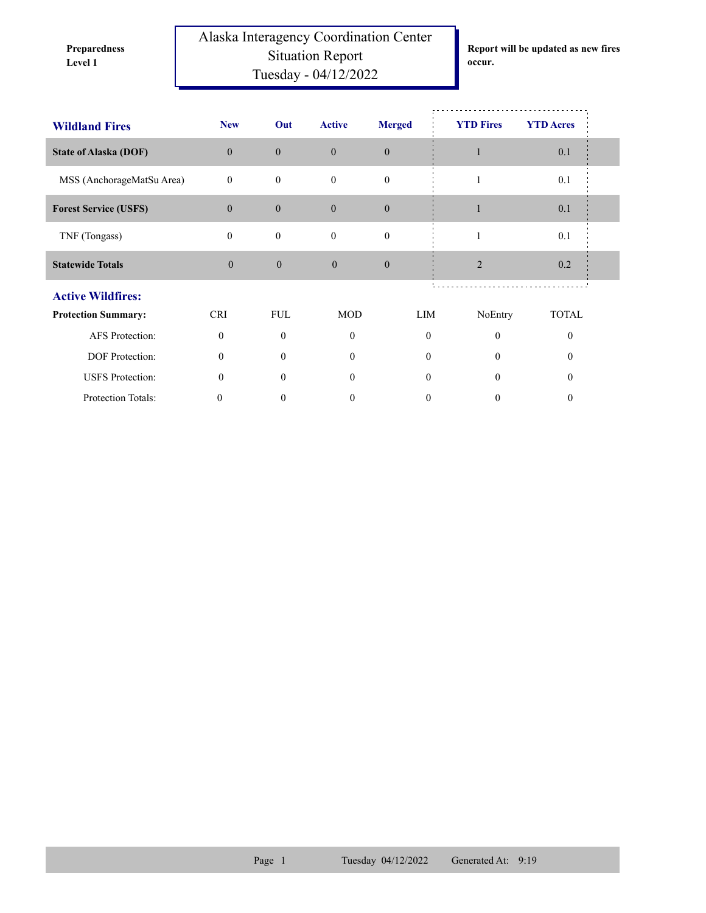**Preparedness** 

Protection Totals:

Alaska Interagency Coordination Center Situation Report **Level 1 occur.** Tuesday - 04/12/2022

**Report will be updated as new fires** 

| <b>Wildland Fires</b>        | <b>New</b>   | Out              | <b>Active</b> | <b>Merged</b>    | <b>YTD Fires</b> | <b>YTD</b> Acres |  |
|------------------------------|--------------|------------------|---------------|------------------|------------------|------------------|--|
| <b>State of Alaska (DOF)</b> | $\Omega$     | $\mathbf{0}$     | $\Omega$      | $\theta$         |                  | 0.1              |  |
| MSS (AnchorageMatSu Area)    | $\mathbf{0}$ | $\boldsymbol{0}$ | $\theta$      | $\Omega$         |                  | 0.1              |  |
| <b>Forest Service (USFS)</b> | $\theta$     | $\boldsymbol{0}$ | $\theta$      | $\mathbf{0}$     |                  | 0.1              |  |
| TNF (Tongass)                | $\mathbf{0}$ | $\boldsymbol{0}$ | $\mathbf{0}$  | $\boldsymbol{0}$ |                  | 0.1              |  |
| <b>Statewide Totals</b>      | $\mathbf{0}$ | $\mathbf{0}$     | $\theta$      | $\mathbf{0}$     | $\overline{2}$   | 0.2              |  |
| <b>Active Wildfires:</b>     |              |                  |               |                  |                  |                  |  |
| <b>Protection Summary:</b>   | <b>CRI</b>   | <b>FUL</b>       | <b>MOD</b>    | LIM              | NoEntry          | <b>TOTAL</b>     |  |
| <b>AFS</b> Protection:       | $\theta$     | $\Omega$         | $\theta$      | $\theta$         | $\Omega$         | $\theta$         |  |
| DOF Protection:              | $\theta$     | $\theta$         | $\theta$      | $\theta$         | $\Omega$         | $\theta$         |  |
| <b>USFS</b> Protection:      | $\Omega$     | 0                | 0             | 0                | 0                | $\theta$         |  |

0 0 0 0 0 0 0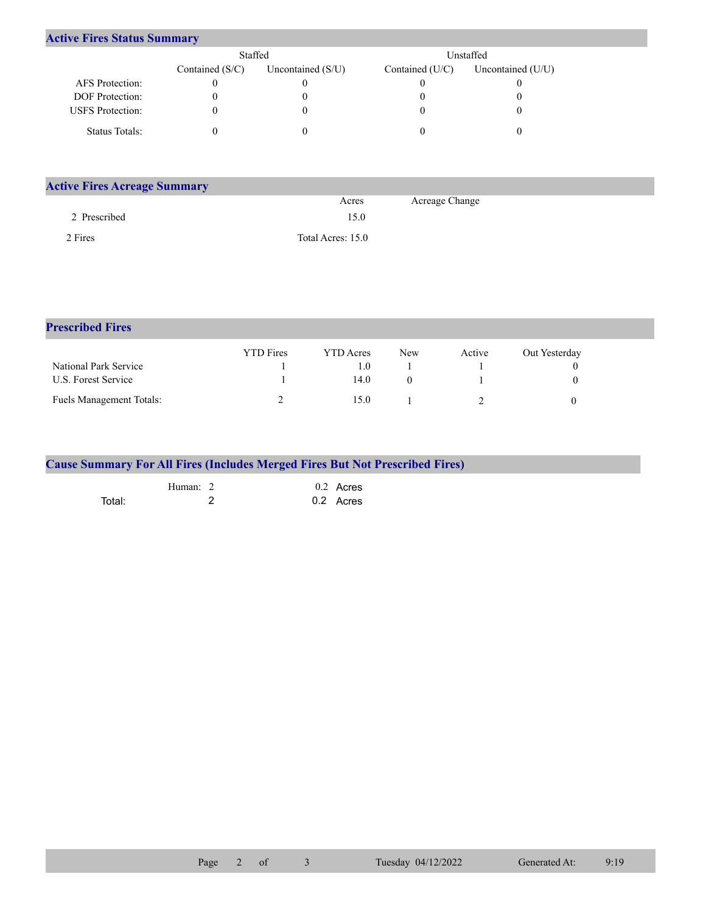| <b>Active Fires Status Summary</b> |
|------------------------------------|
|------------------------------------|

|                         | Staffed           |                     |                   | Unstaffed         |
|-------------------------|-------------------|---------------------|-------------------|-------------------|
|                         | Contained $(S/C)$ | Uncontained $(S/U)$ | Contained $(U/C)$ | Uncontained (U/U) |
| AFS Protection:         |                   |                     |                   |                   |
| <b>DOF</b> Protection:  |                   |                     |                   |                   |
| <b>USFS</b> Protection: |                   |                     |                   |                   |
| Status Totals:          |                   |                     |                   |                   |

| <b>Active Fires Acreage Summary</b> |                   |                |
|-------------------------------------|-------------------|----------------|
|                                     | Acres             | Acreage Change |
| 2 Prescribed                        | 15.0              |                |
| 2 Fires                             | Total Acres: 15.0 |                |

| <b>Prescribed Fires</b>         |                  |                  |     |        |               |  |
|---------------------------------|------------------|------------------|-----|--------|---------------|--|
|                                 | <b>YTD</b> Fires | <b>YTD</b> Acres | New | Active | Out Yesterday |  |
| National Park Service           |                  | 1.0              |     |        |               |  |
| U.S. Forest Service             |                  | 14.0             |     |        |               |  |
| <b>Fuels Management Totals:</b> |                  | 15.0             |     |        |               |  |

| <b>Cause Summary For All Fires (Includes Merged Fires But Not Prescribed Fires)</b> |          |             |  |
|-------------------------------------------------------------------------------------|----------|-------------|--|
|                                                                                     | Human: 2 | $0.2$ Acres |  |
| Total:                                                                              |          | 0.2 Acres   |  |